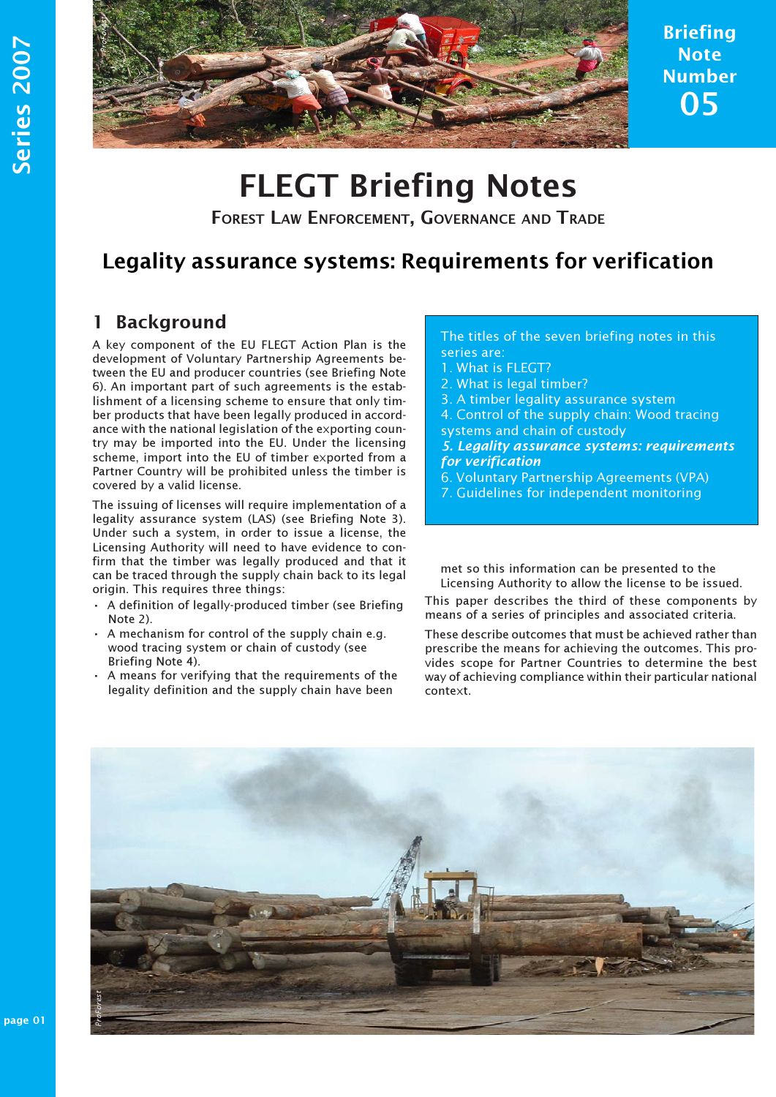

**Briefing Note** Number 05

# FLEGT Briefing Notes

FOREST LAW ENFORCEMENT, GOVERNANCE AND TRADE

# 1 Background

A key component of the EU FLEGT Action Plan is the development of Voluntary Partnership Agreements between the EU and producer countries (see Briefing Note 6). An important part of such agreements is the establishment of a licensing scheme to ensure that only timber products that have been legally produced in accordance with the national legislation of the exporting country may be imported into the EU. Under the licensing scheme, import into the EU of timber exported from a Partner Country will be prohibited unless the timber is covered by a valid license.

The issuing of licenses will require implementation of a legality assurance system (LAS) (see Briefing Note 3). Under such a system, in order to issue a license, the Licensing Authority will need to have evidence to confirm that the timber was legally produced and that it can be traced through the supply chain back to its legal origin. This requires three things:

- · A definition of legally-produced timber (see Briefing Note 2).
- · A mechanism for control of the supply chain e.g. wood tracing system or chain of custody (see Briefing Note 4).
- · A means for verifying that the requirements of the legality definition and the supply chain have been
- The titles of the seven briefing notes in this series are:
- 1. What is FLEGT?
- 2. What is legal timber?
- 3. A timber legality assurance system
- 4. Control of the supply chain: Wood tracing systems and chain of custody
- 5. Legality assurance systems: requirements for verification
- 6. Voluntary Partnership Agreements (VPA)
- 7. Guidelines for independent monitoring

met so this information can be presented to the Licensing Authority to allow the license to be issued.

This paper describes the third of these components by means of a series of principles and associated criteria.

These describe outcomes that must be achieved rather than prescribe the means for achieving the outcomes. This provides scope for Partner Countries to determine the best way of achieving compliance within their particular national context.

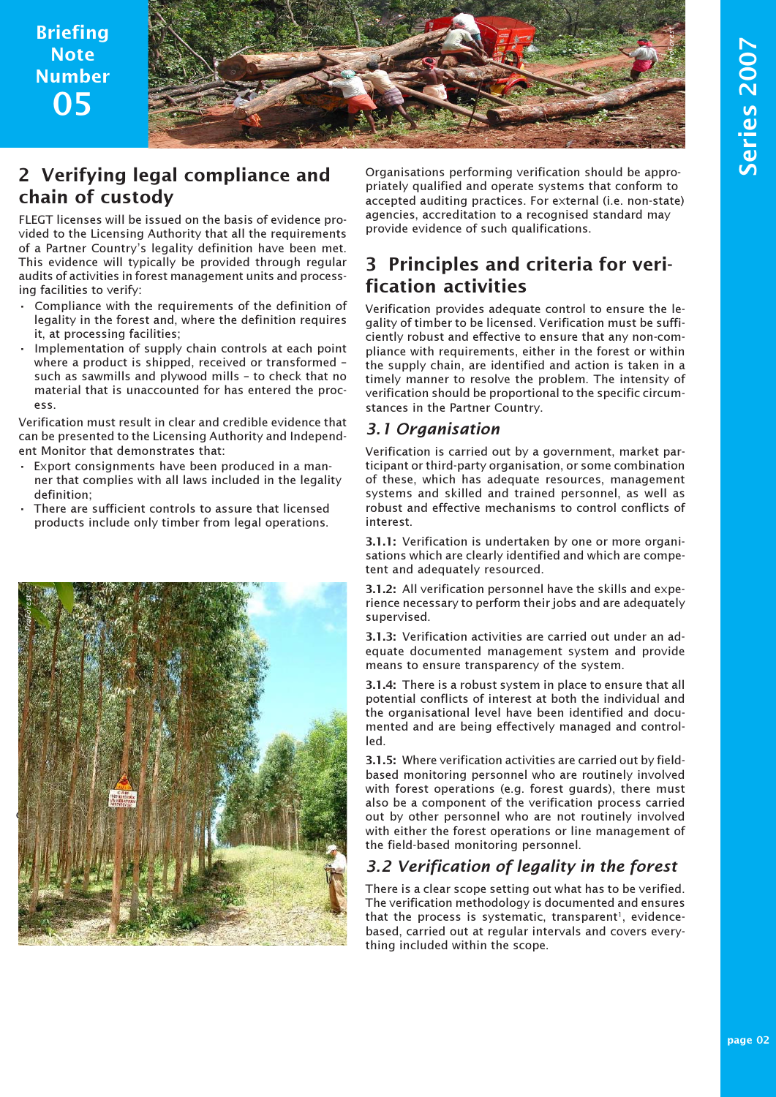Briefing **Note** Number 05



# 2 Verifying legal compliance and chain of custody

FLEGT licenses will be issued on the basis of evidence provided to the Licensing Authority that all the requirements of a Partner Country's legality definition have been met. This evidence will typically be provided through regular audits of activities in forest management units and processing facilities to verify:

- Compliance with the requirements of the definition of legality in the forest and, where the definition requires it, at processing facilities;
- Implementation of supply chain controls at each point where a product is shipped, received or transformed – such as sawmills and plywood mills – to check that no material that is unaccounted for has entered the process.

Verification must result in clear and credible evidence that can be presented to the Licensing Authority and Independent Monitor that demonstrates that:

- Export consignments have been produced in a manner that complies with all laws included in the legality definition;
- There are sufficient controls to assure that licensed products include only timber from legal operations.



Organisations performing verification should be appropriately qualified and operate systems that conform to accepted auditing practices. For external (i.e. non-state) agencies, accreditation to a recognised standard may provide evidence of such qualifications.

# 3 Principles and criteria for verification activities

Verification provides adequate control to ensure the legality of timber to be licensed. Verification must be sufficiently robust and effective to ensure that any non-compliance with requirements, either in the forest or within the supply chain, are identified and action is taken in a timely manner to resolve the problem. The intensity of verification should be proportional to the specific circumstances in the Partner Country.

#### 3.1 Organisation

Verification is carried out by a government, market participant or third-party organisation, or some combination of these, which has adequate resources, management systems and skilled and trained personnel, as well as robust and effective mechanisms to control conflicts of interest.

3.1.1: Verification is undertaken by one or more organisations which are clearly identified and which are competent and adequately resourced.

3.1.2: All verification personnel have the skills and experience necessary to perform their jobs and are adequately supervised.

3.1.3: Verification activities are carried out under an adequate documented management system and provide means to ensure transparency of the system.

3.1.4: There is a robust system in place to ensure that all potential conflicts of interest at both the individual and the organisational level have been identified and documented and are being effectively managed and controlled.

3.1.5: Where verification activities are carried out by fieldbased monitoring personnel who are routinely involved with forest operations (e.g. forest guards), there must also be a component of the verification process carried out by other personnel who are not routinely involved with either the forest operations or line management of the field-based monitoring personnel.

### 3.2 Verification of legality in the forest

There is a clear scope setting out what has to be verified. The verification methodology is documented and ensures that the process is systematic, transparent<sup>1</sup>, evidencebased, carried out at regular intervals and covers everything included within the scope.